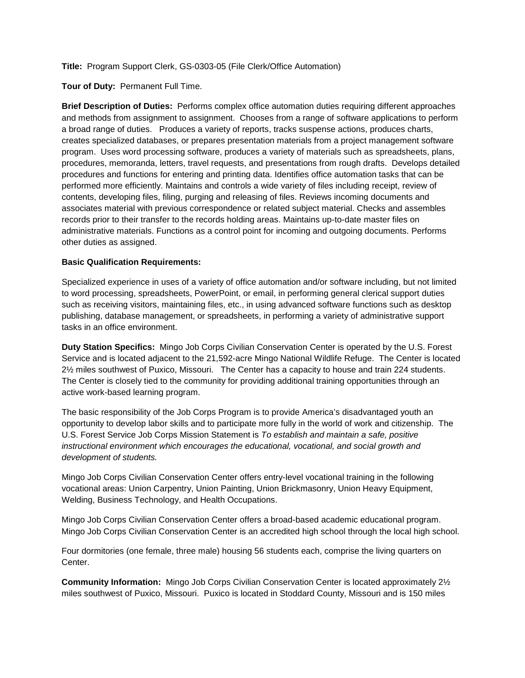**Title:** Program Support Clerk, GS-0303-05 (File Clerk/Office Automation)

**Tour of Duty:** Permanent Full Time.

**Brief Description of Duties:** Performs complex office automation duties requiring different approaches and methods from assignment to assignment. Chooses from a range of software applications to perform a broad range of duties. Produces a variety of reports, tracks suspense actions, produces charts, creates specialized databases, or prepares presentation materials from a project management software program. Uses word processing software, produces a variety of materials such as spreadsheets, plans, procedures, memoranda, letters, travel requests, and presentations from rough drafts. Develops detailed procedures and functions for entering and printing data. Identifies office automation tasks that can be performed more efficiently. Maintains and controls a wide variety of files including receipt, review of contents, developing files, filing, purging and releasing of files. Reviews incoming documents and associates material with previous correspondence or related subject material. Checks and assembles records prior to their transfer to the records holding areas. Maintains up-to-date master files on administrative materials. Functions as a control point for incoming and outgoing documents. Performs other duties as assigned.

## **Basic Qualification Requirements:**

Specialized experience in uses of a variety of office automation and/or software including, but not limited to word processing, spreadsheets, PowerPoint, or email, in performing general clerical support duties such as receiving visitors, maintaining files, etc., in using advanced software functions such as desktop publishing, database management, or spreadsheets, in performing a variety of administrative support tasks in an office environment.

**Duty Station Specifics:** Mingo Job Corps Civilian Conservation Center is operated by the U.S. Forest Service and is located adjacent to the 21,592-acre Mingo National Wildlife Refuge. The Center is located 2½ miles southwest of Puxico, Missouri. The Center has a capacity to house and train 224 students. The Center is closely tied to the community for providing additional training opportunities through an active work-based learning program.

The basic responsibility of the Job Corps Program is to provide America's disadvantaged youth an opportunity to develop labor skills and to participate more fully in the world of work and citizenship. The U.S. Forest Service Job Corps Mission Statement is *To establish and maintain a safe, positive instructional environment which encourages the educational, vocational, and social growth and development of students.*

Mingo Job Corps Civilian Conservation Center offers entry-level vocational training in the following vocational areas: Union Carpentry, Union Painting, Union Brickmasonry, Union Heavy Equipment, Welding, Business Technology, and Health Occupations.

Mingo Job Corps Civilian Conservation Center offers a broad-based academic educational program. Mingo Job Corps Civilian Conservation Center is an accredited high school through the local high school.

Four dormitories (one female, three male) housing 56 students each, comprise the living quarters on Center.

**Community Information:** Mingo Job Corps Civilian Conservation Center is located approximately 2½ miles southwest of Puxico, Missouri. Puxico is located in Stoddard County, Missouri and is 150 miles